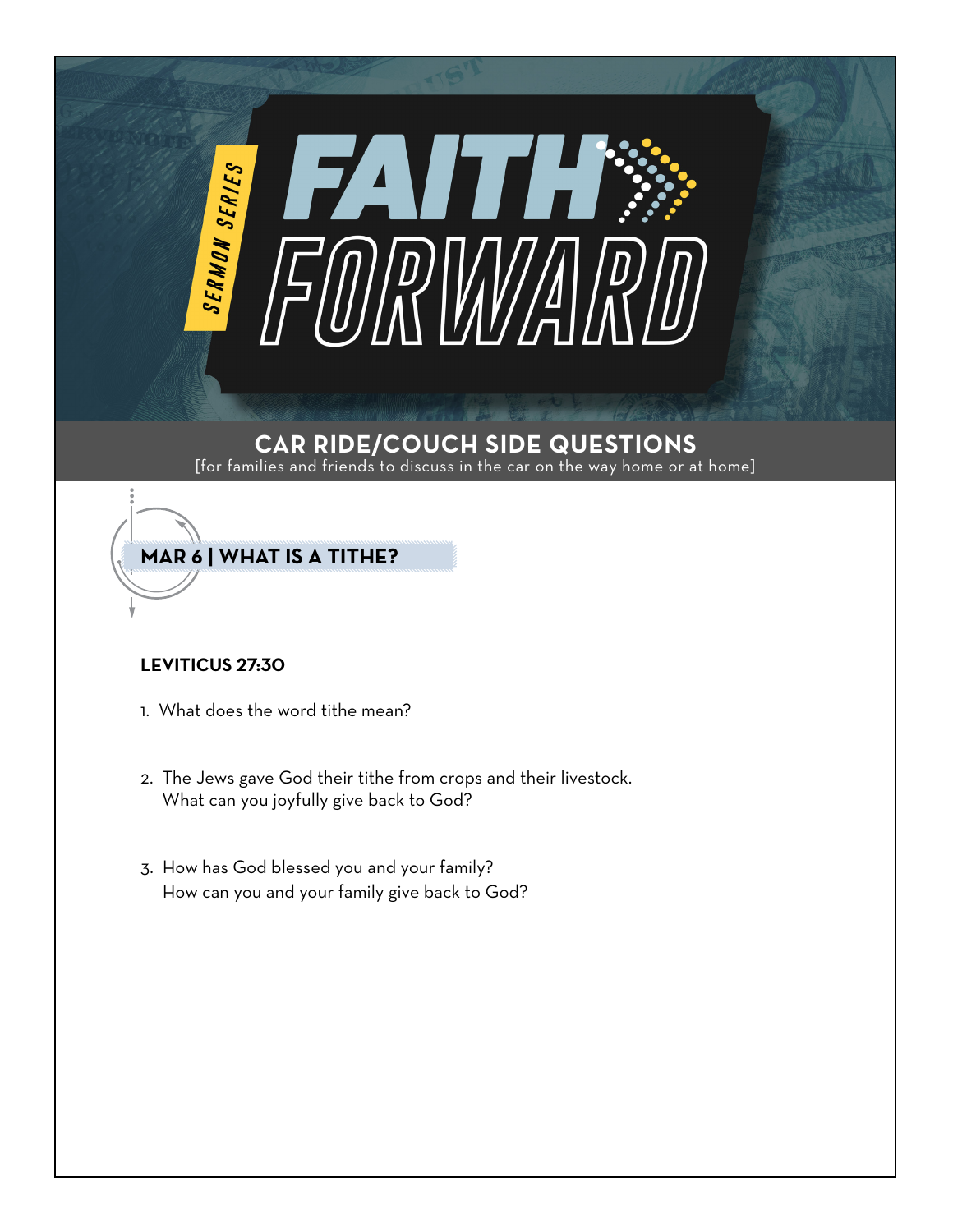



# **LEVITICUS 27:30**

- 1. What does the word tithe mean?
- 2. The Jews gave God their tithe from crops and their livestock. What can you joyfully give back to God?
- 3. How has God blessed you and your family? How can you and your family give back to God?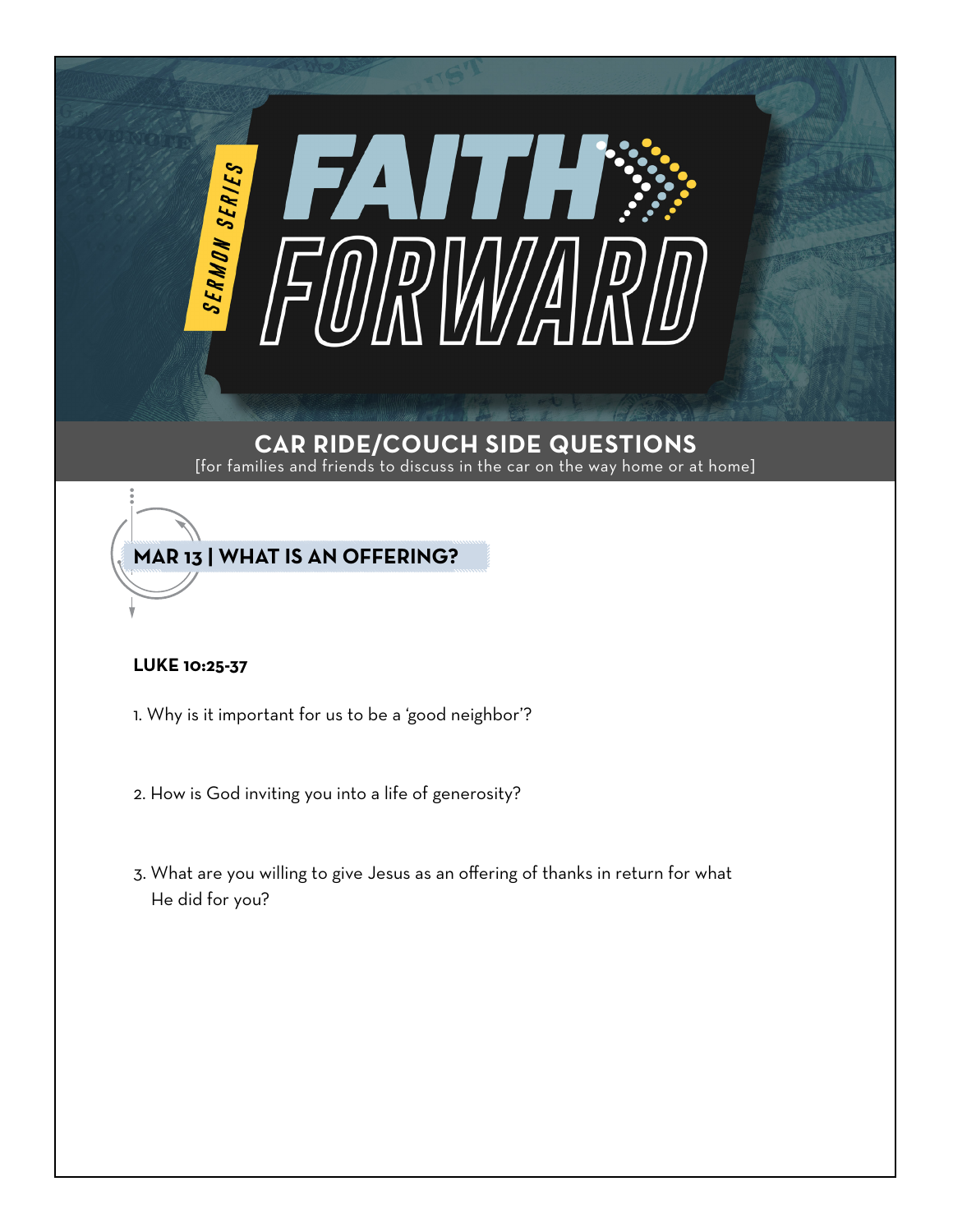

# **MAR 13 | WHAT IS AN OFFERING?**

# **LUKE 10:25-37**

- 1. Why is it important for us to be a 'good neighbor'?
- 2. How is God inviting you into a life of generosity?
- 3. What are you willing to give Jesus as an offering of thanks in return for what He did for you?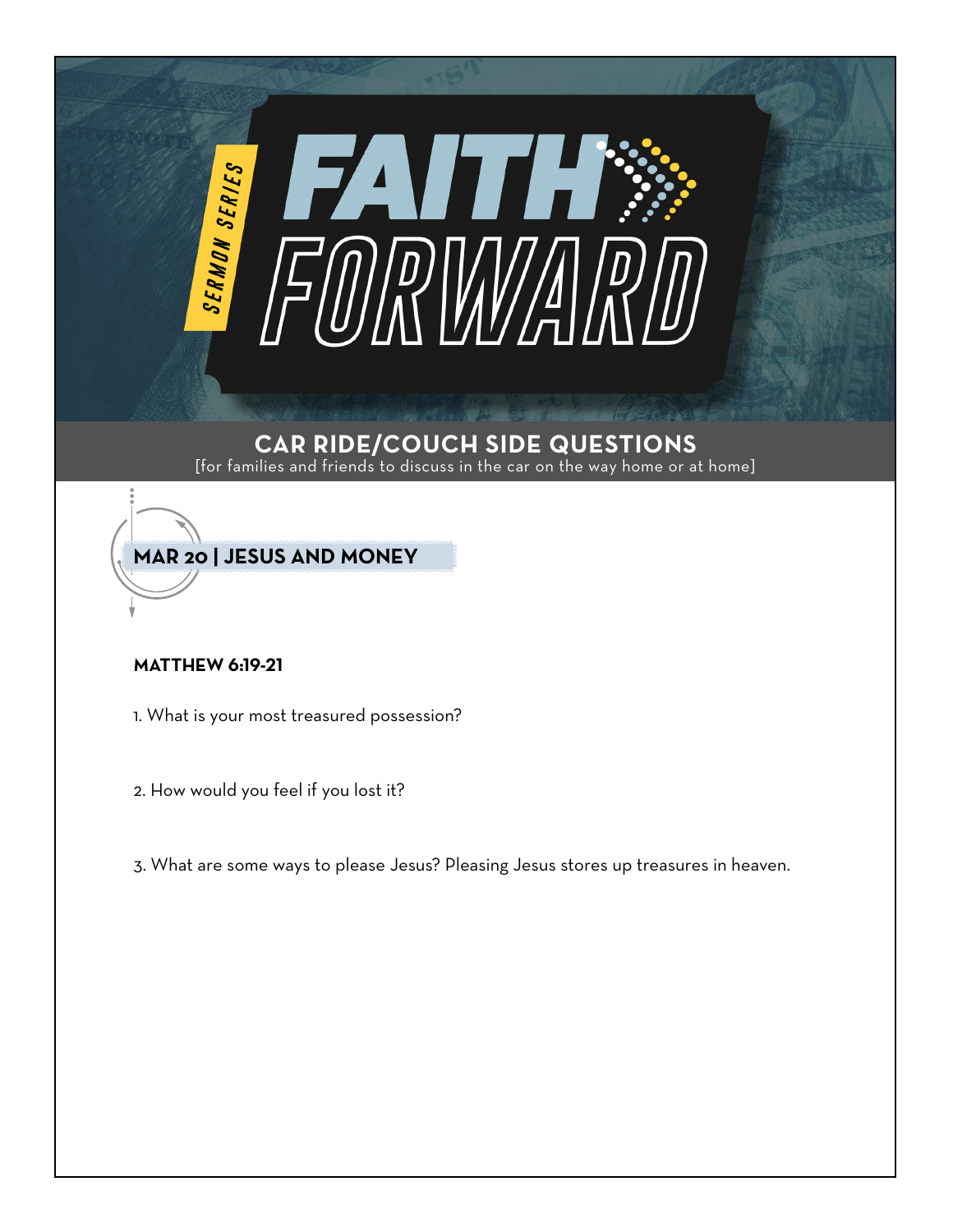



#### **MATTHEW 6:19-21**

- 1. What is your most treasured possession?
- 2. How would you feel if you lost it?
- 3. What are some ways to please Jesus? Pleasing Jesus stores up treasures in heaven.